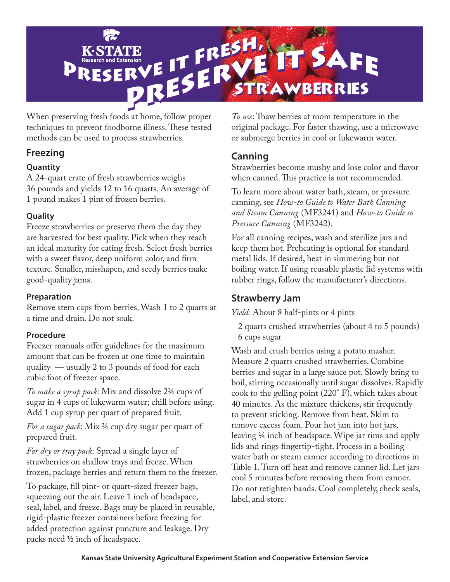

When preserving fresh foods at home, follow proper techniques to prevent foodborne illness. These tested methods can be used to process strawberries.

# **Freezing**

### **Quantity**

A 24-quart crate of fresh strawberries weighs 36 pounds and yields 12 to 16 quarts. An average of 1 pound makes 1 pint of frozen berries.

### **Quality**

Freeze strawberries or preserve them the day they are harvested for best quality. Pick when they reach an ideal maturity for eating fresh. Select fresh berries with a sweet flavor, deep uniform color, and firm texture. Smaller, misshapen, and seedy berries make good-quality jams.

### **Preparation**

Remove stem caps from berries. Wash 1 to 2 quarts at a time and drain. Do not soak.

## **Procedure**

Freezer manuals offer guidelines for the maximum amount that can be frozen at one time to maintain quality — usually 2 to 3 pounds of food for each cubic foot of freezer space.

*To make a syrup pack*: Mix and dissolve 2¾ cups of sugar in 4 cups of lukewarm water; chill before using. Add 1 cup syrup per quart of prepared fruit.

*For a sugar pack*: Mix ¾ cup dry sugar per quart of prepared fruit.

*For dry or tray pack*: Spread a single layer of strawberries on shallow trays and freeze. When frozen, package berries and return them to the freezer.

To package, fill pint- or quart-sized freezer bags, squeezing out the air. Leave 1 inch of headspace, seal, label, and freeze. Bags may be placed in reusable, rigid-plastic freezer containers before freezing for added protection against puncture and leakage. Dry packs need ½ inch of headspace.

*To use*: Thaw berries at room temperature in the original package. For faster thawing, use a microwave or submerge berries in cool or lukewarm water.

# **Canning**

Strawberries become mushy and lose color and flavor when canned. This practice is not recommended.

To learn more about water bath, steam, or pressure canning, see *How-to Guide to Water Bath Canning and Steam Canning* (MF3241) and *How-to Guide to Pressure Canning* (MF3242).

For all canning recipes, wash and sterilize jars and keep them hot. Preheating is optional for standard metal lids. If desired, heat in simmering but not boiling water. If using reusable plastic lid systems with rubber rings, follow the manufacturer's directions.

# **Strawberry Jam**

*Yield:* About 8 half-pints or 4 pints

2 quarts crushed strawberries (about 4 to 5 pounds) 6 cups sugar

Wash and crush berries using a potato masher. Measure 2 quarts crushed strawberries. Combine berries and sugar in a large sauce pot. Slowly bring to boil, stirring occasionally until sugar dissolves. Rapidly cook to the gelling point (220° F), which takes about 40 minutes. As the mixture thickens, stir frequently to prevent sticking. Remove from heat. Skim to remove excess foam. Pour hot jam into hot jars, leaving ¼ inch of headspace. Wipe jar rims and apply lids and rings fingertip-tight. Process in a boiling water bath or steam canner according to directions in Table 1. Turn off heat and remove canner lid. Let jars cool 5 minutes before removing them from canner. Do not retighten bands. Cool completely, check seals, label, and store.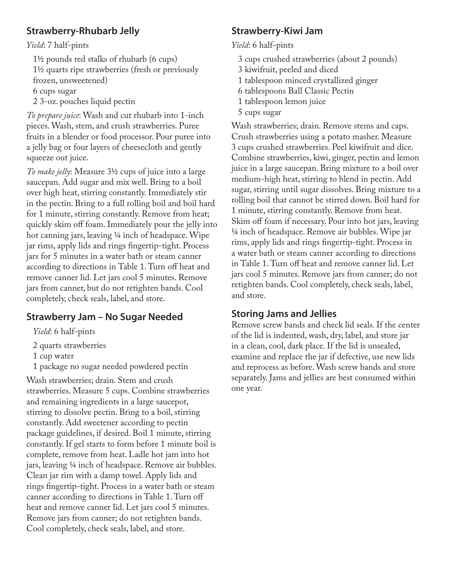# **Strawberry-Rhubarb Jelly**

#### *Yield*: 7 half-pints

11/2 pounds red stalks of rhubarb (6 cups) 11/2 quarts ripe strawberries (fresh or previously frozen, unsweetened) 6 cups sugar

2 3-oz. pouches liquid pectin

*To prepare juice*: Wash and cut rhubarb into 1-inch pieces. Wash, stem, and crush strawberries. Puree fruits in a blender or food processor. Pour puree into a jelly bag or four layers of cheesecloth and gently squeeze out juice.

*To make jelly*: Measure 3½ cups of juice into a large saucepan. Add sugar and mix well. Bring to a boil over high heat, stirring constantly. Immediately stir in the pectin. Bring to a full rolling boil and boil hard for 1 minute, stirring constantly. Remove from heat; quickly skim off foam. Immediately pour the jelly into hot canning jars, leaving ¼ inch of headspace. Wipe jar rims, apply lids and rings fingertip-tight. Process jars for 5 minutes in a water bath or steam canner according to directions in Table 1. Turn off heat and remove canner lid. Let jars cool 5 minutes. Remove jars from canner, but do not retighten bands. Cool completely, check seals, label, and store.

## **Strawberry Jam – No Sugar Needed**

*Yield*: 6 half-pints

- 2 quarts strawberries
- 1 cup water
- 1 package no sugar needed powdered pectin

Wash strawberries; drain. Stem and crush strawberries. Measure 5 cups. Combine strawberries and remaining ingredients in a large saucepot, stirring to dissolve pectin. Bring to a boil, stirring constantly. Add sweetener according to pectin package guidelines, if desired. Boil 1 minute, stirring constantly. If gel starts to form before 1 minute boil is complete, remove from heat. Ladle hot jam into hot jars, leaving 1/4 inch of headspace. Remove air bubbles. Clean jar rim with a damp towel. Apply lids and rings fingertip-tight. Process in a water bath or steam canner according to directions in Table 1. Turn off heat and remove canner lid. Let jars cool 5 minutes. Remove jars from canner; do not retighten bands. Cool completely, check seals, label, and store.

# **Strawberry-Kiwi Jam**

*Yield*: 6 half-pints

- 3 cups crushed strawberries (about 2 pounds)
- 3 kiwifruit, peeled and diced
- 1 tablespoon minced crystallized ginger
- 6 tablespoons Ball Classic Pectin
- 1 tablespoon lemon juice
- 5 cups sugar

Wash strawberries; drain. Remove stems and caps. Crush strawberries using a potato masher. Measure 3 cups crushed strawberries. Peel kiwifruit and dice. Combine strawberries, kiwi, ginger, pectin and lemon juice in a large saucepan. Bring mixture to a boil over medium-high heat, stirring to blend in pectin. Add sugar, stirring until sugar dissolves. Bring mixture to a rolling boil that cannot be stirred down. Boil hard for 1 minute, stirring constantly. Remove from heat. Skim off foam if necessary. Pour into hot jars, leaving ¼ inch of headspace. Remove air bubbles. Wipe jar rims, apply lids and rings fingertip-tight. Process in a water bath or steam canner according to directions in Table 1. Turn off heat and remove canner lid. Let jars cool 5 minutes. Remove jars from canner; do not retighten bands. Cool completely, check seals, label, and store.

## **Storing Jams and Jellies**

Remove screw bands and check lid seals. If the center of the lid is indented, wash, dry, label, and store jar in a clean, cool, dark place. If the lid is unsealed, examine and replace the jar if defective, use new lids and reprocess as before. Wash screw bands and store separately. Jams and jellies are best consumed within one year.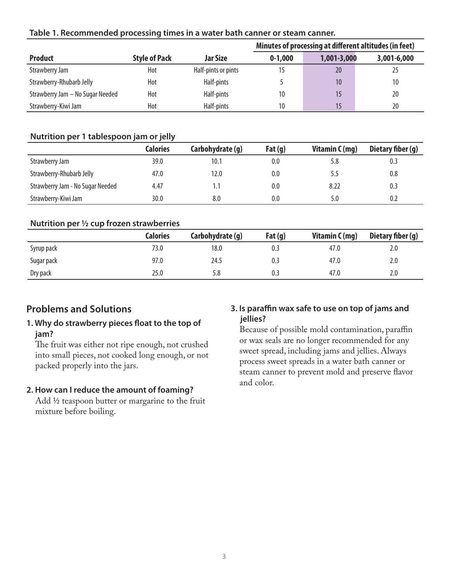#### **Table 1. Recommended processing times in a water bath canner or steam canner.**

|                                  |                      |                     | Minutes of processing at different altitudes (in feet) |             |             |
|----------------------------------|----------------------|---------------------|--------------------------------------------------------|-------------|-------------|
| <b>Product</b>                   | <b>Style of Pack</b> | <b>Jar Size</b>     | $0-1,000$                                              | 1,001-3,000 | 3,001-6,000 |
| Strawberry Jam                   | Hot                  | Half-pints or pints | 15                                                     | 20          | 25          |
| Strawberry-Rhubarb Jelly         | Hot                  | Half-pints          |                                                        | 10          | 10          |
| Strawberry Jam - No Sugar Needed | Hot                  | Half-pints          | 10                                                     |             | 20          |
| Strawberry-Kiwi Jam              | Hot                  | Half-pints          | 10                                                     | 15          | 20          |

#### **Nutrition per 1 tablespoon jam or jelly**

|                                  | <b>Calories</b> | Carbohydrate (g) | Fat $(q)$ | Vitamin C (mg) | Dietary fiber (g) |
|----------------------------------|-----------------|------------------|-----------|----------------|-------------------|
| Strawberry Jam                   | 39.0            | 10.1             | 0.0       | 5.8            | 0.3               |
| Strawberry-Rhubarb Jelly         | 47.0            | 12.0             | 0.0       | 5.5            | 0.8               |
| Strawberry Jam - No Sugar Needed | 4.47            |                  | 0.0       | 8.22           | 0.3               |
| Strawberry-Kiwi Jam              | 30.0            | 8.0              | 0.0       | 5.0            | 0.2               |

#### **Nutrition per 1/2 cup frozen strawberries**

|            | Calories | Carbohydrate (g) | Fat $(g)$ | Vitamin $C(mg)$ | Dietary fiber (g) |
|------------|----------|------------------|-----------|-----------------|-------------------|
| Syrup pack | 73.0     | 18.0             | υ         | 47.0            | 2.0               |
| Sugar pack | 97.0     | 24.5             |           | 47.0            | 2.0               |
| Dry pack   | 25.0     | 5.8              | U.J       | 47.0            | 2.0               |

### **Problems and Solutions**

#### **1. Why do strawberry pieces float to the top of jam?**

The fruit was either not ripe enough, not crushed into small pieces, not cooked long enough, or not packed properly into the jars.

#### **2. How can I reduce the amount of foaming?**

Add 1/2 teaspoon butter or margarine to the fruit mixture before boiling.

#### **3. Is paraffin wax safe to use on top of jams and jellies?**

Because of possible mold contamination, paraffin or wax seals are no longer recommended for any sweet spread, including jams and jellies. Always process sweet spreads in a water bath canner or steam canner to prevent mold and preserve flavor and color.